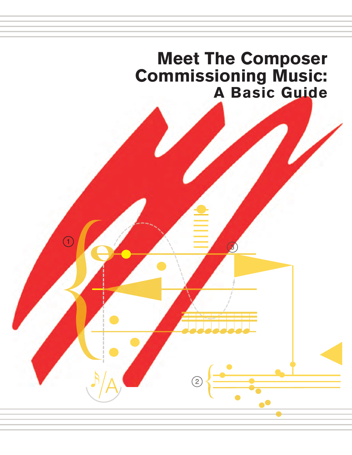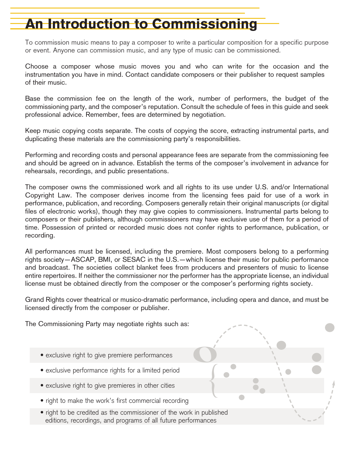# An Introduction to Commissioning

To commission music means to pay a composer to write a particular composition for a specific purpose or event. Anyone can commission music, and any type of music can be commissioned.

Choose a composer whose music moves you and who can write for the occasion and the instrumentation you have in mind. Contact candidate composers or their publisher to request samples of their music.

Base the commission fee on the length of the work, number of performers, the budget of the commissioning party, and the composer's reputation. Consult the schedule of fees in this guide and seek professional advice. Remember, fees are determined by negotiation.

Keep music copying costs separate. The costs of copying the score, extracting instrumental parts, and duplicating these materials are the commissioning party's responsibilities.

Performing and recording costs and personal appearance fees are separate from the commissioning fee and should be agreed on in advance. Establish the terms of the composer's involvement in advance for rehearsals, recordings, and public presentations.

The composer owns the commissioned work and all rights to its use under U.S. and/or International Copyright Law. The composer derives income from the licensing fees paid for use of a work in performance, publication, and recording. Composers generally retain their original manuscripts (or digital files of electronic works), though they may give copies to commissioners. Instrumental parts belong to composers or their publishers, although commissioners may have exclusive use of them for a period of time. Possession of printed or recorded music does not confer rights to performance, publication, or recording.

All performances must be licensed, including the premiere. Most composers belong to a performing rights society—ASCAP, BMI, or SESAC in the U.S.—which license their music for public performance and broadcast. The societies collect blanket fees from producers and presenters of music to license entire repertoires. If neither the commissioner nor the performer has the appropriate license, an individual license must be obtained directly from the composer or the composer's performing rights society.

Grand Rights cover theatrical or musico-dramatic performance, including opera and dance, and must be licensed directly from the composer or publisher. 

{

The Commissioning Party may negotiate rights such as:

- exclusive right to give premiere performances
- exclusive performance rights for a limited period
- exclusive right to give premieres in other cities
- right to make the work's first commercial recording
- right to be credited as the commissioner of the work in published editions, recordings, and programs of all future performances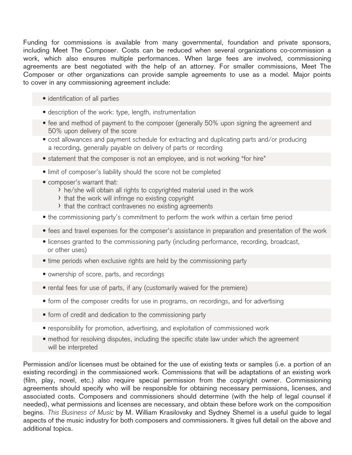Funding for commissions is available from many governmental, foundation and private sponsors, including Meet The Composer. Costs can be reduced when several organizations co-commission a work, which also ensures multiple performances. When large fees are involved, commissioning agreements are best negotiated with the help of an attorney. For smaller commissions, Meet The Composer or other organizations can provide sample agreements to use as a model. Major points to cover in any commissioning agreement include:

- identification of all parties
- description of the work: type, length, instrumentation
- fee and method of payment to the composer (generally 50% upon signing the agreement and 50% upon delivery of the score
- cost allowances and payment schedule for extracting and duplicating parts and/or producing a recording, generally payable on delivery of parts or recording
- statement that the composer is not an employee, and is not working "for hire"
- limit of composer's liability should the score not be completed
- composer's warrant that:
	- › he/she will obtain all rights to copyrighted material used in the work
	- › that the work will infringe no existing copyright
	- › that the contract contravenes no existing agreements
- the commissioning party's commitment to perform the work within a certain time period
- fees and travel expenses for the composer's assistance in preparation and presentation of the work
- licenses granted to the commissioning party (including performance, recording, broadcast, or other uses)
- time periods when exclusive rights are held by the commissioning party
- ownership of score, parts, and recordings
- rental fees for use of parts, if any (customarily waived for the premiere)
- form of the composer credits for use in programs, on recordings, and for advertising
- form of credit and dedication to the commissioning party
- responsibility for promotion, advertising, and exploitation of commissioned work
- method for resolving disputes, including the specific state law under which the agreement will be interpreted

Permission and/or licenses must be obtained for the use of existing texts or samples (i.e. a portion of an existing recording) in the commissioned work. Commissions that will be adaptations of an existing work (film, play, novel, etc.) also require special permission from the copyright owner. Commissioning agreements should specify who will be responsible for obtaining necessary permissions, licenses, and associated costs. Composers and commissioners should determine (with the help of legal counsel if needed), what permissions and licenses are necessary, and obtain these before work on the composition begins. *This Business of Music* by M. William Krasilovsky and Sydney Shemel is a useful guide to legal aspects of the music industry for both composers and commissioners. It gives full detail on the above and additional topics.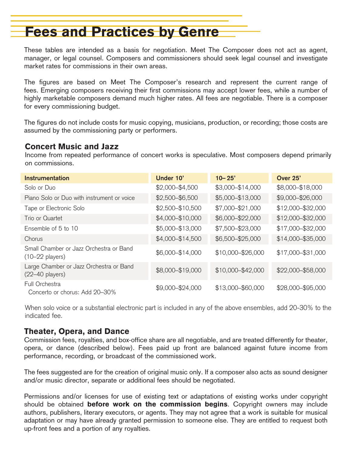# Fees and Practices by Genre

These tables are intended as a basis for negotiation. Meet The Composer does not act as agent, manager, or legal counsel. Composers and commissioners should seek legal counsel and investigate market rates for commissions in their own areas.

The figures are based on Meet The Composer's research and represent the current range of fees. Emerging composers receiving their first commissions may accept lower fees, while a number of highly marketable composers demand much higher rates. All fees are negotiable. There is a composer for every commissioning budget.

The figures do not include costs for music copying, musicians, production, or recording; those costs are assumed by the commissioning party or performers.

### Concert Music and Jazz

Income from repeated performance of concert works is speculative. Most composers depend primarily on commissions.

| Instrumentation                                                      | Under 10'         | $10 - 25'$        | Over 25'          |
|----------------------------------------------------------------------|-------------------|-------------------|-------------------|
| Solo or Duo                                                          | $$2,000 - $4,500$ | \$3,000-\$14,000  | \$8,000-\$18,000  |
| Piano Solo or Duo with instrument or voice                           | $$2,500 - $6,500$ | \$5,000-\$13,000  | \$9,000-\$26,000  |
| Tape or Electronic Solo                                              | \$2,500-\$10,500  | \$7,000-\$21,000  | \$12,000-\$32,000 |
| Trio or Quartet                                                      | \$4,000-\$10,000  | \$6,000-\$22,000  | \$12,000-\$32,000 |
| Ensemble of 5 to 10                                                  | \$5,000-\$13,000  | \$7,500-\$23,000  | \$17,000-\$32,000 |
| Chorus                                                               | \$4,000-\$14,500  | \$6,500-\$25,000  | \$14,000-\$35,000 |
| Small Chamber or Jazz Orchestra or Band<br>$(10-22 \text{ players})$ | \$6,000-\$14,000  | \$10,000-\$26,000 | \$17,000-\$31,000 |
| Large Chamber or Jazz Orchestra or Band<br>$(22-40$ players)         | \$8,000-\$19,000  | \$10,000-\$42,000 | \$22,000-\$58,000 |
| Full Orchestra<br>Concerto or chorus: Add 20–30%                     | \$9,000-\$24,000  | \$13,000-\$60,000 | \$28,000-\$95,000 |

When solo voice or a substantial electronic part is included in any of the above ensembles, add 20-30% to the indicated fee.

### Theater, Opera, and Dance

Commission fees, royalties, and box-office share are all negotiable, and are treated differently for theater, opera, or dance (described below). Fees paid up front are balanced against future income from performance, recording, or broadcast of the commissioned work.

The fees suggested are for the creation of original music only. If a composer also acts as sound designer and/or music director, separate or additional fees should be negotiated.

Permissions and/or licenses for use of existing text or adaptations of existing works under copyright should be obtained before work on the commission begins. Copyright owners may include authors, publishers, literary executors, or agents. They may not agree that a work is suitable for musical adaptation or may have already granted permission to someone else. They are entitled to request both up-front fees and a portion of any royalties.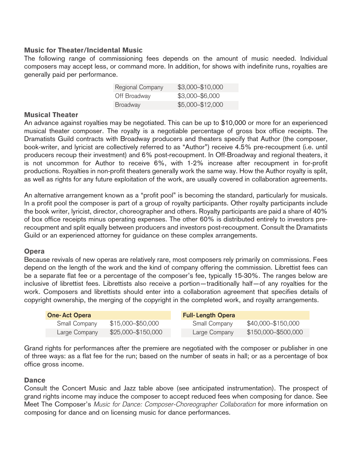#### Music for Theater/Incidental Music

The following range of commissioning fees depends on the amount of music needed. Individual composers may accept less, or command more. In addition, for shows with indefinite runs, royalties are generally paid per performance.

| Regional Company | \$3,000-\$10,000 |
|------------------|------------------|
| Off Broadway     | \$3,000-\$6,000  |
| <b>Broadway</b>  | \$5,000-\$12,000 |

#### Musical Theater

An advance against royalties may be negotiated. This can be up to \$10,000 or more for an experienced musical theater composer. The royalty is a negotiable percentage of gross box office receipts. The Dramatists Guild contracts with Broadway producers and theaters specify that Author (the composer, book-writer, and lyricist are collectively referred to as "Author") receive 4.5% pre-recoupment (i.e. until producers recoup their investment) and 6% post-recoupment. In Off-Broadway and regional theaters, it is not uncommon for Author to receive 6%, with 1-2% increase after recoupment in for-profit productions. Royalties in non-profit theaters generally work the same way. How the Author royalty is split, as well as rights for any future exploitation of the work, are usually covered in collaboration agreements.

An alternative arrangement known as a "profit pool" is becoming the standard, particularly for musicals. In a profit pool the composer is part of a group of royalty participants. Other royalty participants include the book writer, lyricist, director, choreographer and others. Royalty participants are paid a share of 40% of box office receipts minus operating expenses. The other 60% is distributed entirely to investors prerecoupment and split equally between producers and investors post-recoupment. Consult the Dramatists Guild or an experienced attorney for guidance on these complex arrangements.

#### **Opera**

Because revivals of new operas are relatively rare, most composers rely primarily on commissions. Fees depend on the length of the work and the kind of company offering the commission. Librettist fees can be a separate flat fee or a percentage of the composer's fee, typically 15-30%. The ranges below are inclusive of librettist fees. Librettists also receive a portion—traditionally half—of any royalties for the work. Composers and librettists should enter into a collaboration agreement that specifies details of copyright ownership, the merging of the copyright in the completed work, and royalty arrangements.

| <b>One-Act Opera</b> |                    | <b>Full-Length Opera</b> |                      |
|----------------------|--------------------|--------------------------|----------------------|
| Small Company        | \$15,000-\$50,000  | <b>Small Company</b>     | \$40,000 - \$150,000 |
| Large Company        | \$25,000-\$150,000 | Large Company            | \$150,000-\$500,000  |

Grand rights for performances after the premiere are negotiated with the composer or publisher in one of three ways: as a flat fee for the run; based on the number of seats in hall; or as a percentage of box office gross income.

#### **Dance**

Consult the Concert Music and Jazz table above (see anticipated instrumentation). The prospect of grand rights income may induce the composer to accept reduced fees when composing for dance. See Meet The Composer's *Music for Dance: Composer-Choreographer Collaboration* for more information on composing for dance and on licensing music for dance performances.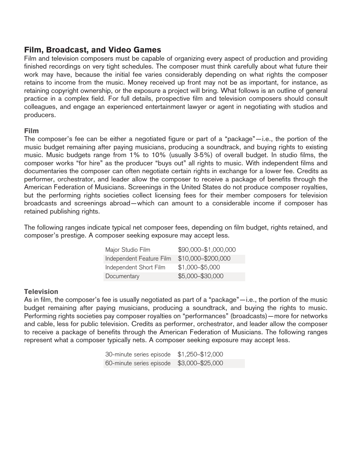# Film, Broadcast, and Video Games

Film and television composers must be capable of organizing every aspect of production and providing finished recordings on very tight schedules. The composer must think carefully about what future their work may have, because the initial fee varies considerably depending on what rights the composer retains to income from the music. Money received up front may not be as important, for instance, as retaining copyright ownership, or the exposure a project will bring. What follows is an outline of general practice in a complex field. For full details, prospective film and television composers should consult colleagues, and engage an experienced entertainment lawyer or agent in negotiating with studios and producers.

#### Film

The composer's fee can be either a negotiated figure or part of a "package"—i.e., the portion of the music budget remaining after paying musicians, producing a soundtrack, and buying rights to existing music. Music budgets range from 1% to 10% (usually 3-5%) of overall budget. In studio films, the composer works "for hire" as the producer "buys out" all rights to music. With independent films and documentaries the composer can often negotiate certain rights in exchange for a lower fee. Credits as performer, orchestrator, and leader allow the composer to receive a package of benefits through the American Federation of Musicians. Screenings in the United States do not produce composer royalties, but the performing rights societies collect licensing fees for their member composers for television broadcasts and screenings abroad—which can amount to a considerable income if composer has retained publishing rights.

The following ranges indicate typical net composer fees, depending on film budget, rights retained, and composer's prestige. A composer seeking exposure may accept less.

| Major Studio Film        | \$90,000-\$1,000,000 |
|--------------------------|----------------------|
| Independent Feature Film | \$10,000-\$200,000   |
| Independent Short Film   | $$1,000 - $5,000$    |
| Documentary              | \$5,000-\$30,000     |

#### **Television**

As in film, the composer's fee is usually negotiated as part of a "package"—i.e., the portion of the music budget remaining after paying musicians, producing a soundtrack, and buying the rights to music. Performing rights societies pay composer royalties on "performances" (broadcasts)—more for networks and cable, less for public television. Credits as performer, orchestrator, and leader allow the composer to receive a package of benefits through the American Federation of Musicians. The following ranges represent what a composer typically nets. A composer seeking exposure may accept less.

| 30-minute series episode \$1,250-\$12,000 |  |
|-------------------------------------------|--|
| 60-minute series episode \$3,000-\$25,000 |  |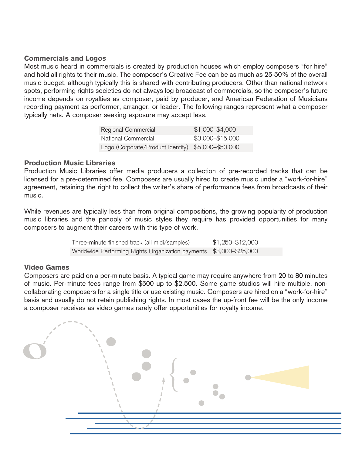#### Commercials and Logos

Most music heard in commercials is created by production houses which employ composers "for hire" and hold all rights to their music. The composer's Creative Fee can be as much as 25-50% of the overall music budget, although typically this is shared with contributing producers. Other than national network spots, performing rights societies do not always log broadcast of commercials, so the composer's future income depends on royalties as composer, paid by producer, and American Federation of Musicians recording payment as performer, arranger, or leader. The following ranges represent what a composer typically nets. A composer seeking exposure may accept less.

| Regional Commercial                                | $$1,000 - $4,000$ |
|----------------------------------------------------|-------------------|
| National Commercial                                | \$3,000-\$15,000  |
| Logo (Corporate/Product Identity) \$5,000-\$50,000 |                   |

#### Production Music Libraries

Production Music Libraries offer media producers a collection of pre-recorded tracks that can be licensed for a pre-determined fee. Composers are usually hired to create music under a "work-for-hire" agreement, retaining the right to collect the writer's share of performance fees from broadcasts of their music.

While revenues are typically less than from original compositions, the growing popularity of production music libraries and the panoply of music styles they require has provided opportunities for many composers to augment their careers with this type of work.

> Three-minute finished track (all midi/samples) \$1,250–\$12,000 Worldwide Performing Rights Organization payments \$3,000–\$25,000

#### Video Games

Composers are paid on a per-minute basis. A typical game may require anywhere from 20 to 80 minutes of music. Per-minute fees range from \$500 up to \$2,500. Some game studios will hire multiple, noncollaborating composers for a single title or use existing music. Composers are hired on a "work-for-hire" basis and usually do not retain publishing rights. In most cases the up-front fee will be the only income a composer receives as video games rarely offer opportunities for royalty income.

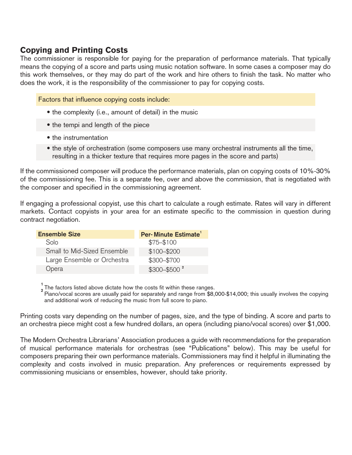# Copying and Printing Costs

The commissioner is responsible for paying for the preparation of performance materials. That typically means the copying of a score and parts using music notation software. In some cases a composer may do this work themselves, or they may do part of the work and hire others to finish the task. No matter who does the work, it is the responsibility of the commissioner to pay for copying costs.

Factors that influence copying costs include:

- the complexity (i.e., amount of detail) in the music
- the tempi and length of the piece
- the instrumentation
- the style of orchestration (some composers use many orchestral instruments all the time, resulting in a thicker texture that requires more pages in the score and parts)

If the commissioned composer will produce the performance materials, plan on copying costs of 10%-30% of the commissioning fee. This is a separate fee, over and above the commission, that is negotiated with the composer and specified in the commissioning agreement.

If engaging a professional copyist, use this chart to calculate a rough estimate. Rates will vary in different markets. Contact copyists in your area for an estimate specific to the commission in question during contract negotiation.

| <b>Ensemble Size</b>        | Per-Minute Estimate <sup>1</sup> |
|-----------------------------|----------------------------------|
| Solo                        | $$75 - $100$                     |
| Small to Mid-Sized Ensemble | \$100-\$200                      |
| Large Ensemble or Orchestra | \$300-\$700                      |
| Opera                       | $$300 - $500^2$                  |

**1**<br>2 The factors listed above dictate how the costs fit within these ranges.<br><sup>2</sup> Piano/vocal scores are usually paid for separately and range from \$8,000-\$14,000; this usually involves the copying and additional work of reducing the music from full score to piano.

Printing costs vary depending on the number of pages, size, and the type of binding. A score and parts to an orchestra piece might cost a few hundred dollars, an opera (including piano/vocal scores) over \$1,000.

The Modern Orchestra Librarians' Association produces a guide with recommendations for the preparation of musical performance materials for orchestras (see "Publications" below). This may be useful for composers preparing their own performance materials. Commissioners may find it helpful in illuminating the complexity and costs involved in music preparation. Any preferences or requirements expressed by commissioning musicians or ensembles, however, should take priority.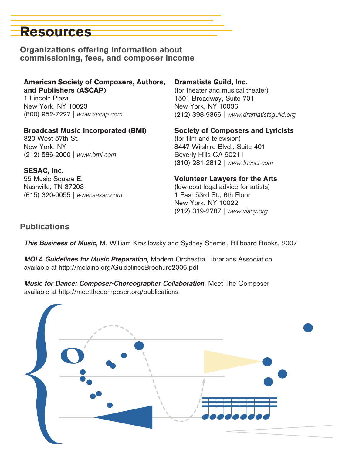# Resources

Organizations offering information about commissioning, fees, and composer income

American Society of Composers, Authors, and Publishers (ASCAP)

1 Lincoln Plaza New York, NY 10023 (800) 952-7227 | *www.ascap.com*

#### Broadcast Music Incorporated (BMI)

320 West 57th St. New York, NY (212) 586-2000 | *www.bmi.com*

#### SESAC, Inc.

55 Music Square E. Nashville, TN 37203 (615) 320-0055 | *www.sesac.com*

#### Dramatists Guild, Inc.

(for theater and musical theater) 1501 Broadway, Suite 701 New York, NY 10036 (212) 398-9366 | *www.dramatistsguild.org*

Society of Composers and Lyricists

(for film and television) 8447 Wilshire Blvd., Suite 401 Beverly Hills CA 90211 (310) 281-2812 | *www.thescl.com*

## Volunteer Lawyers for the Arts

(low-cost legal advice for artists) 1 East 53rd St., 6th Floor New York, NY 10022 (212) 319-2787 | *www.vlany.org*

## **Publications**

*This Business of Music*, M. William Krasilovsky and Sydney Shemel, Billboard Books, 2007

*MOLA Guidelines for Music Preparation*, Modern Orchestra Librarians Association available at http://molainc.org/GuidelinesBrochure2006.pdf

*Music for Dance: Composer-Choreographer Collaboration*, Meet The Composer available at http://meetthecomposer.org/publications